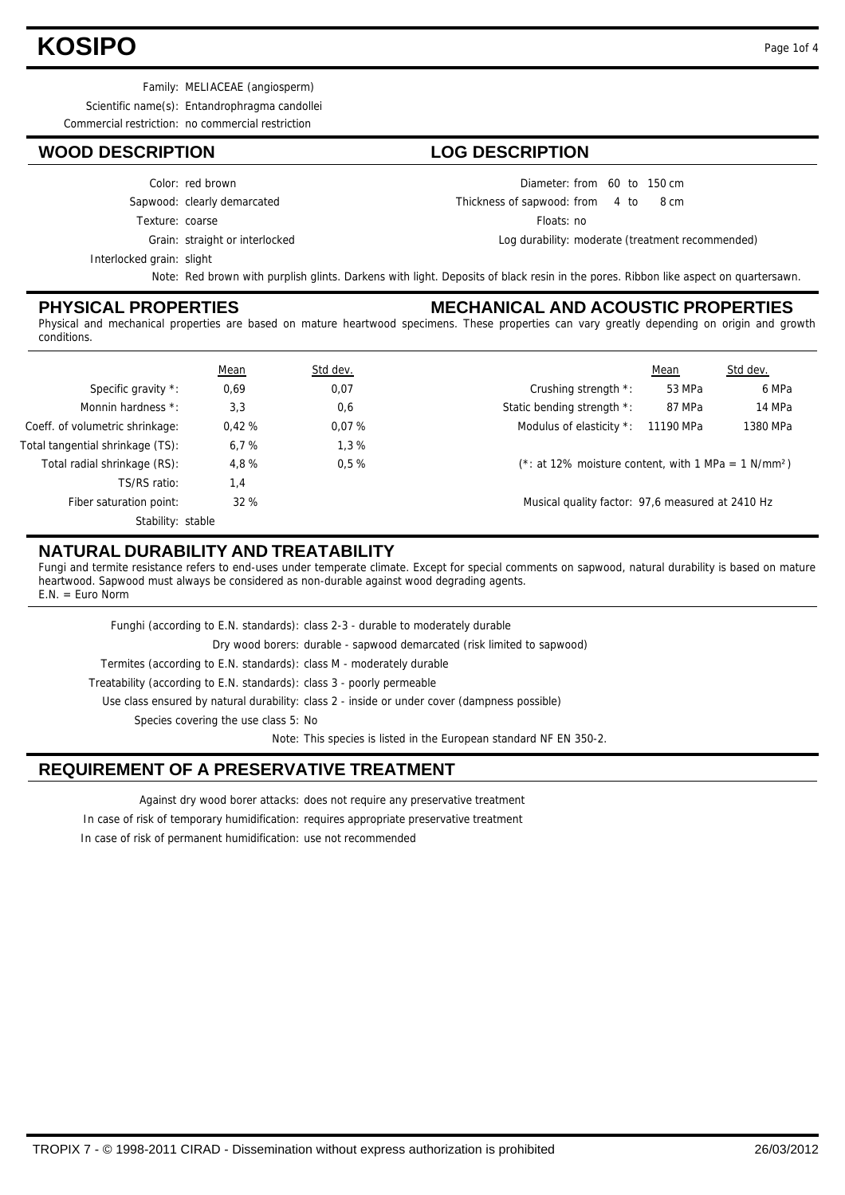# **KOSIPO** Page 1of 4

Family: MELIACEAE (angiosperm)

Scientific name(s): Entandrophragma candollei

Commercial restriction: no commercial restriction

#### **WOOD DESCRIPTION LOG DESCRIPTION**

#### Color: red brown

Sapwood: clearly demarcated

Texture: coarse

Grain: straight or interlocked

Diameter: from 60 to 150 cm Thickness of sapwood:

from 4 to 8 cm Floats: no

Log durability: moderate (treatment recommended)

Interlocked grain: slight

Note: Red brown with purplish glints. Darkens with light. Deposits of black resin in the pores. Ribbon like aspect on quartersawn.

#### **PHYSICAL PROPERTIES**

#### **MECHANICAL AND ACOUSTIC PROPERTIES**

Physical and mechanical properties are based on mature heartwood specimens. These properties can vary greatly depending on origin and growth conditions.

|                                  | <b>Mean</b> | Std dev. |                                                                    | Mean      | Std dev. |
|----------------------------------|-------------|----------|--------------------------------------------------------------------|-----------|----------|
| Specific gravity *:              | 0,69        | 0,07     | Crushing strength *:                                               | 53 MPa    | 6 MPa    |
| Monnin hardness *:               | 3,3         | 0,6      | Static bending strength *:                                         | 87 MPa    | 14 MPa   |
| Coeff. of volumetric shrinkage:  | 0.42%       | 0.07%    | Modulus of elasticity *:                                           | 11190 MPa | 1380 MPa |
| Total tangential shrinkage (TS): | 6.7%        | 1.3%     |                                                                    |           |          |
| Total radial shrinkage (RS):     | 4,8%        | 0.5%     | $(*: at 12\%$ moisture content, with 1 MPa = 1 N/mm <sup>2</sup> ) |           |          |
| TS/RS ratio:                     | 1,4         |          |                                                                    |           |          |
| Fiber saturation point:          | 32%         |          | Musical quality factor: 97,6 measured at 2410 Hz                   |           |          |
| Stability: stable                |             |          |                                                                    |           |          |

### **NATURAL DURABILITY AND TREATABILITY**

Fungi and termite resistance refers to end-uses under temperate climate. Except for special comments on sapwood, natural durability is based on mature heartwood. Sapwood must always be considered as non-durable against wood degrading agents.  $F N = F$ uro Norm

Treatability (according to E.N. standards): class 3 - poorly permeable Termites (according to E.N. standards): class M - moderately durable Dry wood borers: durable - sapwood demarcated (risk limited to sapwood) Funghi (according to E.N. standards): class 2-3 - durable to moderately durable

Use class ensured by natural durability: class 2 - inside or under cover (dampness possible)

Species covering the use class 5: No

Note: This species is listed in the European standard NF EN 350-2.

### **REQUIREMENT OF A PRESERVATIVE TREATMENT**

Against dry wood borer attacks: does not require any preservative treatment

In case of risk of temporary humidification: requires appropriate preservative treatment

In case of risk of permanent humidification: use not recommended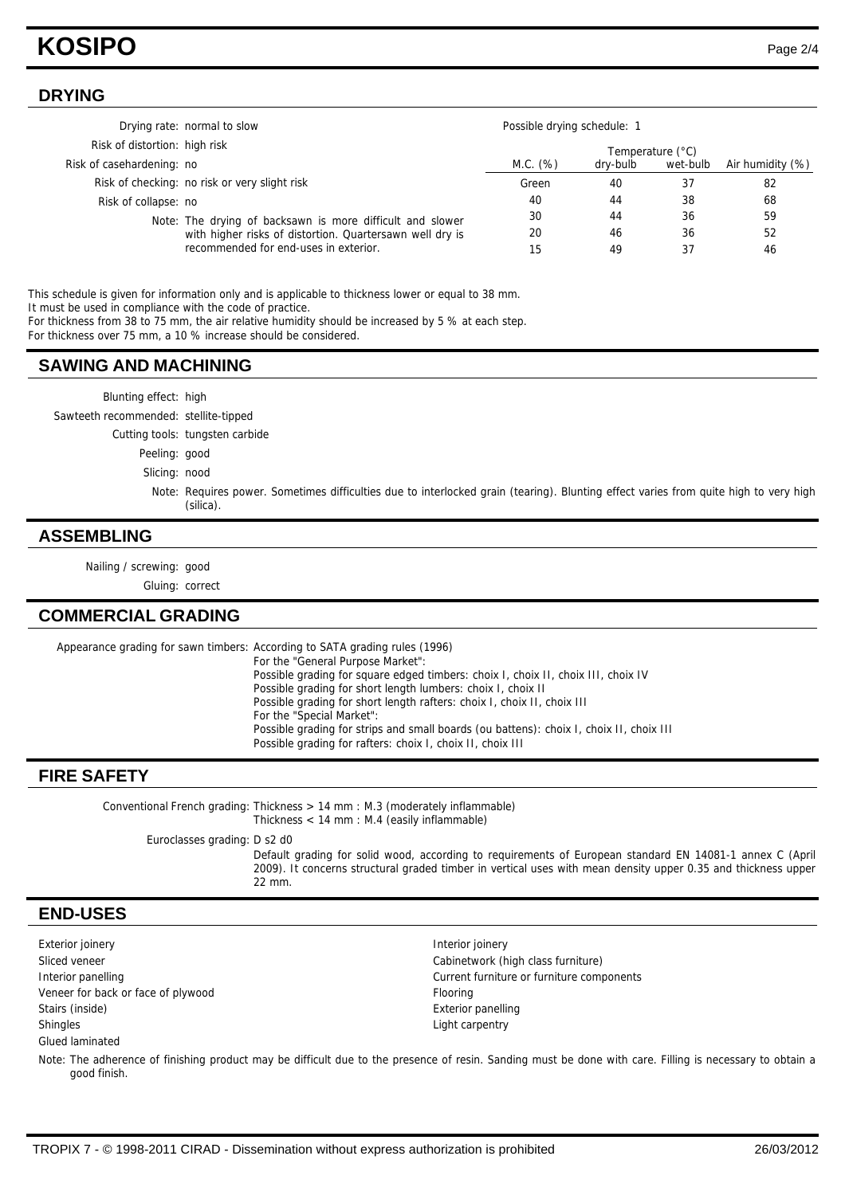# **KOSIPO** Page 2/4

### **DRYING**

|                               | Drying rate: normal to slow                                                                                           | Possible drying schedule: 1 |          |                  |                  |
|-------------------------------|-----------------------------------------------------------------------------------------------------------------------|-----------------------------|----------|------------------|------------------|
| Risk of distortion: high risk |                                                                                                                       |                             |          | Temperature (°C) |                  |
| Risk of casehardening: no     |                                                                                                                       | M.C. (%)                    | dry-bulb | wet-bulb         | Air humidity (%) |
|                               | Risk of checking: no risk or very slight risk                                                                         | Green                       | 40       | -37              | 82               |
| Risk of collapse: no          |                                                                                                                       | 40                          | 44       | 38               | 68               |
|                               | Note: The drying of backsawn is more difficult and slower<br>with higher risks of distortion. Quartersawn well dry is | 30                          | 44       | 36               | 59               |
|                               |                                                                                                                       | 20                          | 46       | 36               | 52               |
|                               | recommended for end-uses in exterior.                                                                                 | 15                          | 49       | 37               | 46               |

This schedule is given for information only and is applicable to thickness lower or equal to 38 mm. It must be used in compliance with the code of practice.

For thickness from 38 to 75 mm, the air relative humidity should be increased by 5 % at each step.

For thickness over 75 mm, a 10 % increase should be considered.

#### **SAWING AND MACHINING**

Blunting effect: high

Sawteeth recommended: stellite-tipped

Cutting tools: tungsten carbide

Peeling: good

Slicing: nood

Note: Requires power. Sometimes difficulties due to interlocked grain (tearing). Blunting effect varies from quite high to very high (silica).

#### **ASSEMBLING**

Nailing / screwing: good

Gluing: correct

#### **COMMERCIAL GRADING**

Appearance grading for sawn timbers: According to SATA grading rules (1996) For the "General Purpose Market": Possible grading for square edged timbers: choix I, choix II, choix III, choix IV Possible grading for short length lumbers: choix I, choix II Possible grading for short length rafters: choix I, choix II, choix III For the "Special Market": Possible grading for strips and small boards (ou battens): choix I, choix II, choix III Possible grading for rafters: choix I, choix II, choix III

### **FIRE SAFETY**

Conventional French grading: Thickness > 14 mm : M.3 (moderately inflammable) Thickness < 14 mm : M.4 (easily inflammable) Euroclasses grading: D s2 d0 Default grading for solid wood, according to requirements of European standard EN 14081-1 annex C (April 2009). It concerns structural graded timber in vertical uses with mean density upper 0.35 and thickness upper 22 mm.

#### **END-USES**

Exterior joinery **Interior is a large of the Contract Contract Contract Contract Contract Contract Contract Contract Contract Contract Contract Contract Contract Contract Contract Contract Contract Contract Contract Contra** Sliced veneer Cabinetwork (high class furniture) Veneer for back or face of plywood Flooring Stairs (inside) **Exterior panelling** Exterior panelling Shingles Light carpentry Glued laminated

Interior panelling Current furniture or furniture components

Note: The adherence of finishing product may be difficult due to the presence of resin. Sanding must be done with care. Filling is necessary to obtain a good finish.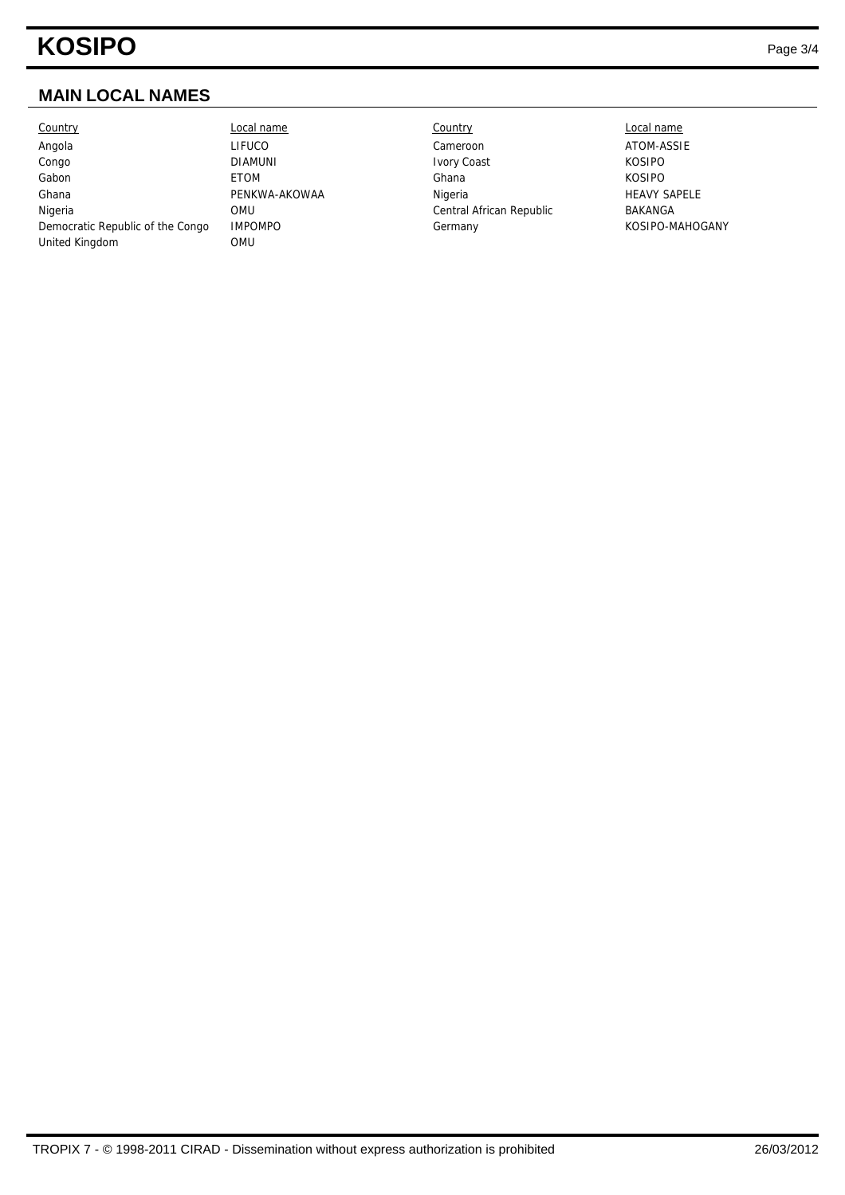# **KOSIPO** Page 3/4

## **MAIN LOCAL NAMES**

| Country                          | Local name     | Country                  | Local name       |  |
|----------------------------------|----------------|--------------------------|------------------|--|
| Angola                           | LIFUCO         | Cameroon                 | ATOM-ASSI        |  |
| Congo                            | <b>DIAMUNI</b> | <b>Ivory Coast</b>       | <b>KOSIPO</b>    |  |
| Gabon                            | <b>ETOM</b>    | Ghana                    | <b>KOSIPO</b>    |  |
| Ghana                            | PENKWA-AKOWAA  | Nigeria                  | <b>HEAVY SAP</b> |  |
| Nigeria                          | OMU            | Central African Republic | BAKANGA          |  |
| Democratic Republic of the Congo | <b>IMPOMPO</b> | Germany                  | KOSIPO-MA        |  |
| United Kingdom                   | OMU            |                          |                  |  |

LIFUCO Cameroon Cameroon ATOM-ASSIE PENKWA-AKOWAA Nigeria Nigeria HEAVY SAPELE OMU Central African Republic BAKANGA IMPOMPO Germany Germany KOSIPO-MAHOGANY